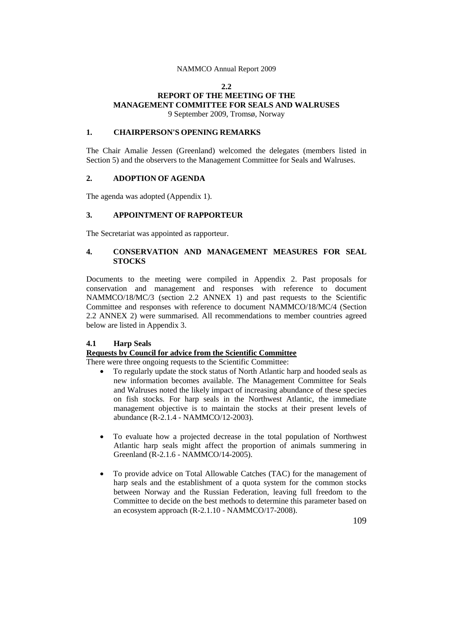#### **2.2**

## **REPORT OF THE MEETING OF THE MANAGEMENT COMMITTEE FOR SEALS AND WALRUSES** 9 September 2009, Tromsø, Norway

### **1. CHAIRPERSON'S OPENING REMARKS**

The Chair Amalie Jessen (Greenland) welcomed the delegates (members listed in Section 5) and the observers to the Management Committee for Seals and Walruses.

## **2. ADOPTION OF AGENDA**

The agenda was adopted (Appendix 1).

## **3. APPOINTMENT OF RAPPORTEUR**

The Secretariat was appointed as rapporteur.

### **4. CONSERVATION AND MANAGEMENT MEASURES FOR SEAL STOCKS**

Documents to the meeting were compiled in Appendix 2. Past proposals for conservation and management and responses with reference to document NAMMCO/18/MC/3 (section 2.2 ANNEX 1) and past requests to the Scientific Committee and responses with reference to document NAMMCO/18/MC/4 (Section 2.2 ANNEX 2) were summarised. All recommendations to member countries agreed below are listed in Appendix 3.

### **4.1 Harp Seals**

# **Requests by Council for advice from the Scientific Committee**

There were three ongoing requests to the Scientific Committee:

- To regularly update the stock status of North Atlantic harp and hooded seals as new information becomes available. The Management Committee for Seals and Walruses noted the likely impact of increasing abundance of these species on fish stocks. For harp seals in the Northwest Atlantic, the immediate management objective is to maintain the stocks at their present levels of abundance (R-2.1.4 - NAMMCO/12-2003).
- To evaluate how a projected decrease in the total population of Northwest Atlantic harp seals might affect the proportion of animals summering in Greenland (R-2.1.6 - NAMMCO/14-2005).
- To provide advice on Total Allowable Catches (TAC) for the management of harp seals and the establishment of a quota system for the common stocks between Norway and the Russian Federation, leaving full freedom to the Committee to decide on the best methods to determine this parameter based on an ecosystem approach (R-2.1.10 - NAMMCO/17-2008).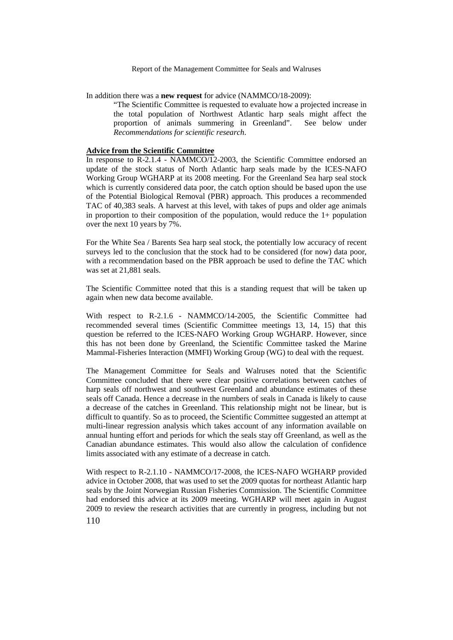In addition there was a **new request** for advice (NAMMCO/18-2009):

"The Scientific Committee is requested to evaluate how a projected increase in the total population of Northwest Atlantic harp seals might affect the proportion of animals summering in Greenland". See below under *Recommendations for scientific research*.

#### **Advice from the Scientific Committee**

In response to R-2.1.4 - NAMMCO/12-2003, the Scientific Committee endorsed an update of the stock status of North Atlantic harp seals made by the ICES-NAFO Working Group WGHARP at its 2008 meeting. For the Greenland Sea harp seal stock which is currently considered data poor, the catch option should be based upon the use of the Potential Biological Removal (PBR) approach. This produces a recommended TAC of 40,383 seals. A harvest at this level, with takes of pups and older age animals in proportion to their composition of the population, would reduce the  $1+$  population over the next 10 years by 7%.

For the White Sea / Barents Sea harp seal stock, the potentially low accuracy of recent surveys led to the conclusion that the stock had to be considered (for now) data poor, with a recommendation based on the PBR approach be used to define the TAC which was set at 21,881 seals.

The Scientific Committee noted that this is a standing request that will be taken up again when new data become available.

With respect to R-2.1.6 - NAMMCO/14-2005, the Scientific Committee had recommended several times (Scientific Committee meetings 13, 14, 15) that this question be referred to the ICES-NAFO Working Group WGHARP. However, since this has not been done by Greenland, the Scientific Committee tasked the Marine Mammal-Fisheries Interaction (MMFI) Working Group (WG) to deal with the request.

The Management Committee for Seals and Walruses noted that the Scientific Committee concluded that there were clear positive correlations between catches of harp seals off northwest and southwest Greenland and abundance estimates of these seals off Canada. Hence a decrease in the numbers of seals in Canada is likely to cause a decrease of the catches in Greenland. This relationship might not be linear, but is difficult to quantify. So as to proceed, the Scientific Committee suggested an attempt at multi-linear regression analysis which takes account of any information available on annual hunting effort and periods for which the seals stay off Greenland, as well as the Canadian abundance estimates. This would also allow the calculation of confidence limits associated with any estimate of a decrease in catch.

With respect to R-2.1.10 - NAMMCO/17-2008, the ICES-NAFO WGHARP provided advice in October 2008, that was used to set the 2009 quotas for northeast Atlantic harp seals by the Joint Norwegian Russian Fisheries Commission. The Scientific Committee had endorsed this advice at its 2009 meeting. WGHARP will meet again in August 2009 to review the research activities that are currently in progress, including but not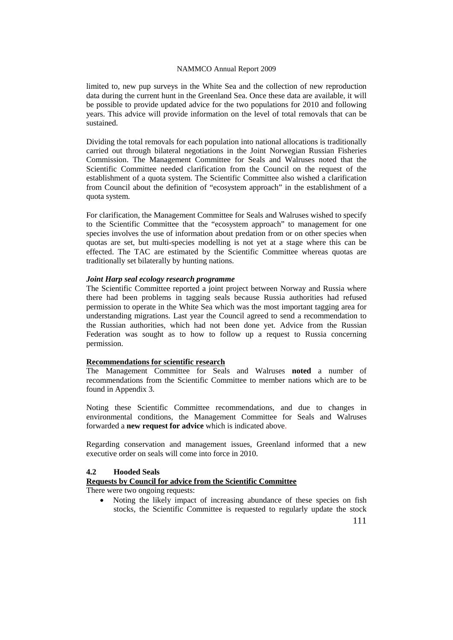limited to, new pup surveys in the White Sea and the collection of new reproduction data during the current hunt in the Greenland Sea. Once these data are available, it will be possible to provide updated advice for the two populations for 2010 and following years. This advice will provide information on the level of total removals that can be sustained.

Dividing the total removals for each population into national allocations is traditionally carried out through bilateral negotiations in the Joint Norwegian Russian Fisheries Commission. The Management Committee for Seals and Walruses noted that the Scientific Committee needed clarification from the Council on the request of the establishment of a quota system. The Scientific Committee also wished a clarification from Council about the definition of "ecosystem approach" in the establishment of a quota system.

For clarification, the Management Committee for Seals and Walruses wished to specify to the Scientific Committee that the "ecosystem approach" to management for one species involves the use of information about predation from or on other species when quotas are set, but multi-species modelling is not yet at a stage where this can be effected. The TAC are estimated by the Scientific Committee whereas quotas are traditionally set bilaterally by hunting nations.

### *Joint Harp seal ecology research programme*

The Scientific Committee reported a joint project between Norway and Russia where there had been problems in tagging seals because Russia authorities had refused permission to operate in the White Sea which was the most important tagging area for understanding migrations. Last year the Council agreed to send a recommendation to the Russian authorities, which had not been done yet. Advice from the Russian Federation was sought as to how to follow up a request to Russia concerning permission.

## **Recommendations for scientific research**

The Management Committee for Seals and Walruses **noted** a number of recommendations from the Scientific Committee to member nations which are to be found in Appendix 3.

Noting these Scientific Committee recommendations, and due to changes in environmental conditions, the Management Committee for Seals and Walruses forwarded a **new request for advice** which is indicated above.

Regarding conservation and management issues, Greenland informed that a new executive order on seals will come into force in 2010.

### **4.2 Hooded Seals**

**Requests by Council for advice from the Scientific Committee**

There were two ongoing requests:

Noting the likely impact of increasing abundance of these species on fish stocks, the Scientific Committee is requested to regularly update the stock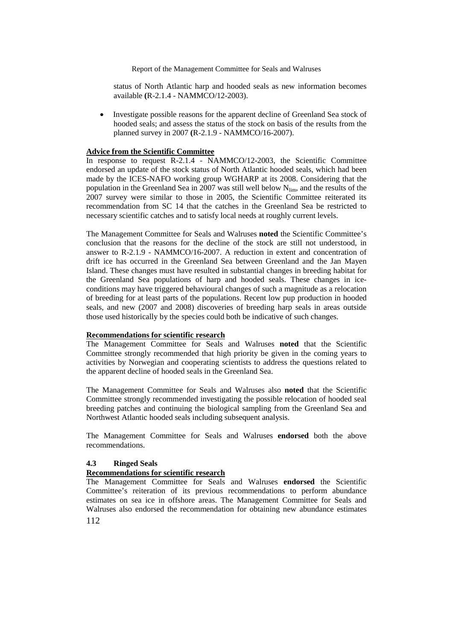status of North Atlantic harp and hooded seals as new information becomes available **(**R-2.1.4 - NAMMCO/12-2003).

• Investigate possible reasons for the apparent decline of Greenland Sea stock of hooded seals; and assess the status of the stock on basis of the results from the planned survey in 2007 **(**R-2.1.9 - NAMMCO/16-2007).

#### **Advice from the Scientific Committee**

In response to request R-2.1.4 - NAMMCO/12-2003, the Scientific Committee endorsed an update of the stock status of North Atlantic hooded seals, which had been made by the ICES-NAFO working group WGHARP at its 2008. Considering that the population in the Greenland Sea in 2007 was still well below N<sub>lim</sub>, and the results of the 2007 survey were similar to those in 2005, the Scientific Committee reiterated its recommendation from SC 14 that the catches in the Greenland Sea be restricted to necessary scientific catches and to satisfy local needs at roughly current levels.

The Management Committee for Seals and Walruses **noted** the Scientific Committee's conclusion that the reasons for the decline of the stock are still not understood, in answer to R-2.1.9 - NAMMCO/16-2007. A reduction in extent and concentration of drift ice has occurred in the Greenland Sea between Greenland and the Jan Mayen Island. These changes must have resulted in substantial changes in breeding habitat for the Greenland Sea populations of harp and hooded seals. These changes in iceconditions may have triggered behavioural changes of such a magnitude as a relocation of breeding for at least parts of the populations. Recent low pup production in hooded seals, and new (2007 and 2008) discoveries of breeding harp seals in areas outside those used historically by the species could both be indicative of such changes.

### **Recommendations for scientific research**

The Management Committee for Seals and Walruses **noted** that the Scientific Committee strongly recommended that high priority be given in the coming years to activities by Norwegian and cooperating scientists to address the questions related to the apparent decline of hooded seals in the Greenland Sea.

The Management Committee for Seals and Walruses also **noted** that the Scientific Committee strongly recommended investigating the possible relocation of hooded seal breeding patches and continuing the biological sampling from the Greenland Sea and Northwest Atlantic hooded seals including subsequent analysis.

The Management Committee for Seals and Walruses **endorsed** both the above recommendations.

## **4.3 Ringed Seals**

#### **Recommendations for scientific research**

112 The Management Committee for Seals and Walruses **endorsed** the Scientific Committee's reiteration of its previous recommendations to perform abundance estimates on sea ice in offshore areas. The Management Committee for Seals and Walruses also endorsed the recommendation for obtaining new abundance estimates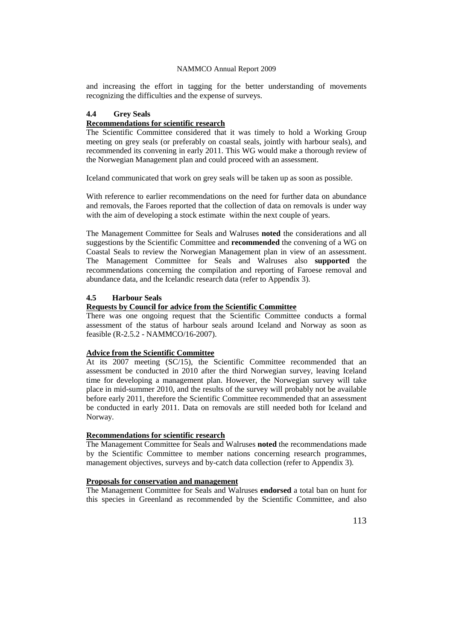and increasing the effort in tagging for the better understanding of movements recognizing the difficulties and the expense of surveys.

### **4.4 Grey Seals**

## **Recommendations for scientific research**

The Scientific Committee considered that it was timely to hold a Working Group meeting on grey seals (or preferably on coastal seals, jointly with harbour seals), and recommended its convening in early 2011. This WG would make a thorough review of the Norwegian Management plan and could proceed with an assessment.

Iceland communicated that work on grey seals will be taken up as soon as possible.

With reference to earlier recommendations on the need for further data on abundance and removals, the Faroes reported that the collection of data on removals is under way with the aim of developing a stock estimate within the next couple of years.

The Management Committee for Seals and Walruses **noted** the considerations and all suggestions by the Scientific Committee and **recommended** the convening of a WG on Coastal Seals to review the Norwegian Management plan in view of an assessment. The Management Committee for Seals and Walruses also **supported** the recommendations concerning the compilation and reporting of Faroese removal and abundance data, and the Icelandic research data (refer to Appendix 3).

# **4.5 Harbour Seals**

## **Requests by Council for advice from the Scientific Committee**

There was one ongoing request that the Scientific Committee conducts a formal assessment of the status of harbour seals around Iceland and Norway as soon as feasible (R-2.5.2 - NAMMCO/16-2007).

# **Advice from the Scientific Committee**

At its 2007 meeting (SC/15), the Scientific Committee recommended that an assessment be conducted in 2010 after the third Norwegian survey, leaving Iceland time for developing a management plan. However, the Norwegian survey will take place in mid-summer 2010, and the results of the survey will probably not be available before early 2011, therefore the Scientific Committee recommended that an assessment be conducted in early 2011. Data on removals are still needed both for Iceland and Norway.

## **Recommendations for scientific research**

The Management Committee for Seals and Walruses **noted** the recommendations made by the Scientific Committee to member nations concerning research programmes, management objectives, surveys and by-catch data collection (refer to Appendix 3).

### **Proposals for conservation and management**

The Management Committee for Seals and Walruses **endorsed** a total ban on hunt for this species in Greenland as recommended by the Scientific Committee, and also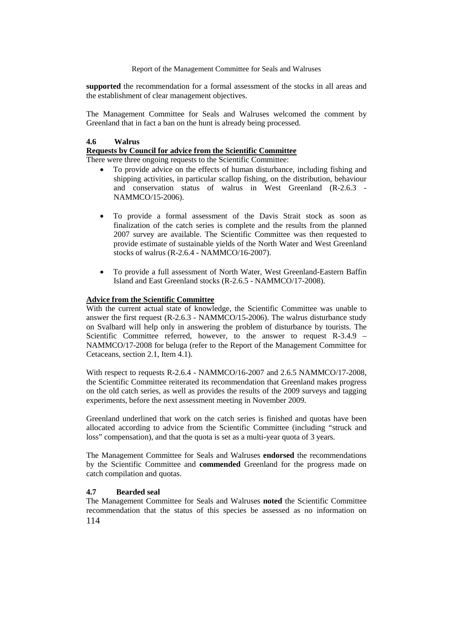**supported** the recommendation for a formal assessment of the stocks in all areas and the establishment of clear management objectives.

The Management Committee for Seals and Walruses welcomed the comment by Greenland that in fact a ban on the hunt is already being processed.

## **4.6 Walrus**

## **Requests by Council for advice from the Scientific Committee**

There were three ongoing requests to the Scientific Committee:

- To provide advice on the effects of human disturbance, including fishing and shipping activities, in particular scallop fishing, on the distribution, behaviour and conservation status of walrus in West Greenland (R-2.6.3 - NAMMCO/15-2006).
- To provide a formal assessment of the Davis Strait stock as soon as finalization of the catch series is complete and the results from the planned 2007 survey are available. The Scientific Committee was then requested to provide estimate of sustainable yields of the North Water and West Greenland stocks of walrus (R-2.6.4 - NAMMCO/16-2007).
- To provide a full assessment of North Water, West Greenland-Eastern Baffin Island and East Greenland stocks (R-2.6.5 - NAMMCO/17-2008).

## **Advice from the Scientific Committee**

With the current actual state of knowledge, the Scientific Committee was unable to answer the first request (R-2.6.3 - NAMMCO/15-2006). The walrus disturbance study on Svalbard will help only in answering the problem of disturbance by tourists. The Scientific Committee referred, however, to the answer to request R-3.4.9 – NAMMCO/17-2008 for beluga (refer to the Report of the Management Committee for Cetaceans, section 2.1, Item 4.1).

With respect to requests R-2.6.4 - NAMMCO/16-2007 and 2.6.5 NAMMCO/17-2008, the Scientific Committee reiterated its recommendation that Greenland makes progress on the old catch series, as well as provides the results of the 2009 surveys and tagging experiments, before the next assessment meeting in November 2009.

Greenland underlined that work on the catch series is finished and quotas have been allocated according to advice from the Scientific Committee (including "struck and loss" compensation), and that the quota is set as a multi-year quota of 3 years.

The Management Committee for Seals and Walruses **endorsed** the recommendations by the Scientific Committee and **commended** Greenland for the progress made on catch compilation and quotas.

### **4.7 Bearded seal**

114 The Management Committee for Seals and Walruses **noted** the Scientific Committee recommendation that the status of this species be assessed as no information on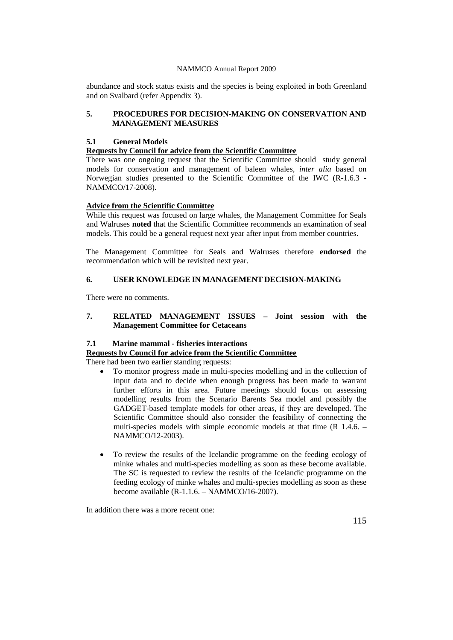abundance and stock status exists and the species is being exploited in both Greenland and on Svalbard (refer Appendix 3).

## **5. PROCEDURES FOR DECISION-MAKING ON CONSERVATION AND MANAGEMENT MEASURES**

## **5.1 General Models**

## **Requests by Council for advice from the Scientific Committee**

There was one ongoing request that the Scientific Committee should study general models for conservation and management of baleen whales, *inter alia* based on Norwegian studies presented to the Scientific Committee of the IWC (R-1.6.3 - NAMMCO/17-2008).

## **Advice from the Scientific Committee**

While this request was focused on large whales, the Management Committee for Seals and Walruses **noted** that the Scientific Committee recommends an examination of seal models. This could be a general request next year after input from member countries.

The Management Committee for Seals and Walruses therefore **endorsed** the recommendation which will be revisited next year.

# **6. USER KNOWLEDGE IN MANAGEMENT DECISION-MAKING**

There were no comments.

## **7. RELATED MANAGEMENT ISSUES – Joint session with the Management Committee for Cetaceans**

### **7.1 Marine mammal - fisheries interactions**

# **Requests by Council for advice from the Scientific Committee**

There had been two earlier standing requests:

- To monitor progress made in multi-species modelling and in the collection of input data and to decide when enough progress has been made to warrant further efforts in this area. Future meetings should focus on assessing modelling results from the Scenario Barents Sea model and possibly the GADGET-based template models for other areas, if they are developed. The Scientific Committee should also consider the feasibility of connecting the multi-species models with simple economic models at that time (R 1.4.6. – NAMMCO/12-2003).
- To review the results of the Icelandic programme on the feeding ecology of minke whales and multi-species modelling as soon as these become available. The SC is requested to review the results of the Icelandic programme on the feeding ecology of minke whales and multi-species modelling as soon as these become available (R-1.1.6. – NAMMCO/16-2007).

In addition there was a more recent one: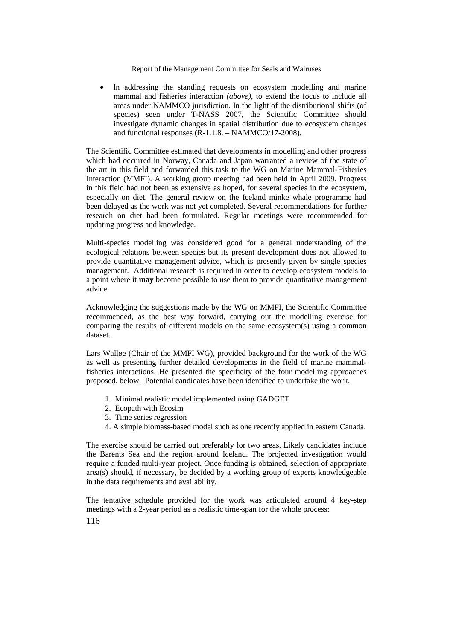In addressing the standing requests on ecosystem modelling and marine mammal and fisheries interaction *(above)*, to extend the focus to include all areas under NAMMCO jurisdiction. In the light of the distributional shifts (of species) seen under T-NASS 2007, the Scientific Committee should investigate dynamic changes in spatial distribution due to ecosystem changes and functional responses (R-1.1.8. – NAMMCO/17-2008).

The Scientific Committee estimated that developments in modelling and other progress which had occurred in Norway, Canada and Japan warranted a review of the state of the art in this field and forwarded this task to the WG on Marine Mammal-Fisheries Interaction (MMFI). A working group meeting had been held in April 2009. Progress in this field had not been as extensive as hoped, for several species in the ecosystem, especially on diet. The general review on the Iceland minke whale programme had been delayed as the work was not yet completed. Several recommendations for further research on diet had been formulated. Regular meetings were recommended for updating progress and knowledge.

Multi-species modelling was considered good for a general understanding of the ecological relations between species but its present development does not allowed to provide quantitative management advice, which is presently given by single species management. Additional research is required in order to develop ecosystem models to a point where it **may** become possible to use them to provide quantitative management advice.

Acknowledging the suggestions made by the WG on MMFI, the Scientific Committee recommended, as the best way forward, carrying out the modelling exercise for comparing the results of different models on the same ecosystem(s) using a common dataset.

Lars Walløe (Chair of the MMFI WG), provided background for the work of the WG as well as presenting further detailed developments in the field of marine mammalfisheries interactions. He presented the specificity of the four modelling approaches proposed, below. Potential candidates have been identified to undertake the work.

- 1. Minimal realistic model implemented using GADGET
- 2. Ecopath with Ecosim
- 3. Time series regression
- 4. A simple biomass-based model such as one recently applied in eastern Canada.

The exercise should be carried out preferably for two areas. Likely candidates include the Barents Sea and the region around Iceland. The projected investigation would require a funded multi-year project. Once funding is obtained, selection of appropriate area(s) should, if necessary, be decided by a working group of experts knowledgeable in the data requirements and availability.

The tentative schedule provided for the work was articulated around 4 key-step meetings with a 2-year period as a realistic time-span for the whole process: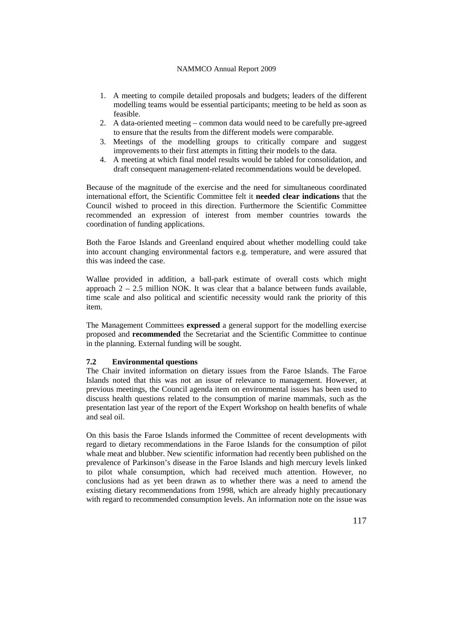- 1. A meeting to compile detailed proposals and budgets; leaders of the different modelling teams would be essential participants; meeting to be held as soon as feasible.
- 2. A data-oriented meeting common data would need to be carefully pre-agreed to ensure that the results from the different models were comparable.
- 3. Meetings of the modelling groups to critically compare and suggest improvements to their first attempts in fitting their models to the data.
- 4. A meeting at which final model results would be tabled for consolidation, and draft consequent management-related recommendations would be developed.

Because of the magnitude of the exercise and the need for simultaneous coordinated international effort, the Scientific Committee felt it **needed clear indications** that the Council wished to proceed in this direction. Furthermore the Scientific Committee recommended an expression of interest from member countries towards the coordination of funding applications.

Both the Faroe Islands and Greenland enquired about whether modelling could take into account changing environmental factors e.g. temperature, and were assured that this was indeed the case.

Walløe provided in addition, a ball-park estimate of overall costs which might approach  $2 - 2.5$  million NOK. It was clear that a balance between funds available, time scale and also political and scientific necessity would rank the priority of this item.

The Management Committees **expressed** a general support for the modelling exercise proposed and **recommended** the Secretariat and the Scientific Committee to continue in the planning. External funding will be sought.

## **7.2 Environmental questions**

The Chair invited information on dietary issues from the Faroe Islands. The Faroe Islands noted that this was not an issue of relevance to management. However, at previous meetings, the Council agenda item on environmental issues has been used to discuss health questions related to the consumption of marine mammals, such as the presentation last year of the report of the Expert Workshop on health benefits of whale and seal oil.

On this basis the Faroe Islands informed the Committee of recent developments with regard to dietary recommendations in the Faroe Islands for the consumption of pilot whale meat and blubber. New scientific information had recently been published on the prevalence of Parkinson's disease in the Faroe Islands and high mercury levels linked to pilot whale consumption, which had received much attention. However, no conclusions had as yet been drawn as to whether there was a need to amend the existing dietary recommendations from 1998, which are already highly precautionary with regard to recommended consumption levels. An information note on the issue was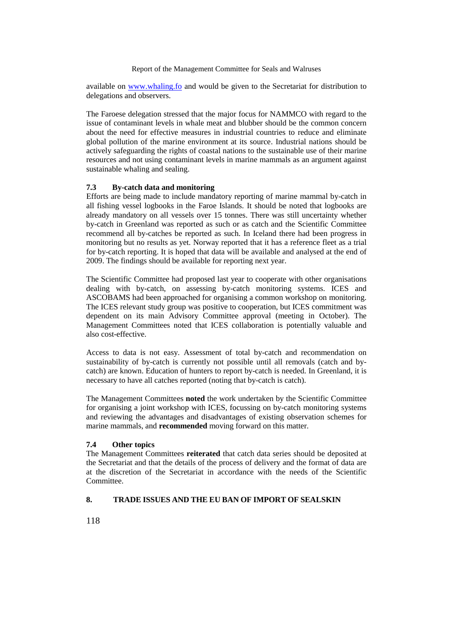available on [www.whaling.fo](http://www.whaling.fo/) and would be given to the Secretariat for distribution to delegations and observers.

The Faroese delegation stressed that the major focus for NAMMCO with regard to the issue of contaminant levels in whale meat and blubber should be the common concern about the need for effective measures in industrial countries to reduce and eliminate global pollution of the marine environment at its source. Industrial nations should be actively safeguarding the rights of coastal nations to the sustainable use of their marine resources and not using contaminant levels in marine mammals as an argument against sustainable whaling and sealing.

## **7.3 By-catch data and monitoring**

Efforts are being made to include mandatory reporting of marine mammal by-catch in all fishing vessel logbooks in the Faroe Islands. It should be noted that logbooks are already mandatory on all vessels over 15 tonnes. There was still uncertainty whether by-catch in Greenland was reported as such or as catch and the Scientific Committee recommend all by-catches be reported as such. In Iceland there had been progress in monitoring but no results as yet. Norway reported that it has a reference fleet as a trial for by-catch reporting. It is hoped that data will be available and analysed at the end of 2009. The findings should be available for reporting next year.

The Scientific Committee had proposed last year to cooperate with other organisations dealing with by-catch, on assessing by-catch monitoring systems. ICES and ASCOBAMS had been approached for organising a common workshop on monitoring. The ICES relevant study group was positive to cooperation, but ICES commitment was dependent on its main Advisory Committee approval (meeting in October). The Management Committees noted that ICES collaboration is potentially valuable and also cost-effective.

Access to data is not easy. Assessment of total by-catch and recommendation on sustainability of by-catch is currently not possible until all removals (catch and bycatch) are known. Education of hunters to report by-catch is needed. In Greenland, it is necessary to have all catches reported (noting that by-catch is catch).

The Management Committees **noted** the work undertaken by the Scientific Committee for organising a joint workshop with ICES, focussing on by-catch monitoring systems and reviewing the advantages and disadvantages of existing observation schemes for marine mammals, and **recommended** moving forward on this matter.

# **7.4 Other topics**

The Management Committees **reiterated** that catch data series should be deposited at the Secretariat and that the details of the process of delivery and the format of data are at the discretion of the Secretariat in accordance with the needs of the Scientific **Committee** 

#### **8. TRADE ISSUES AND THE EU BAN OF IMPORT OF SEALSKIN**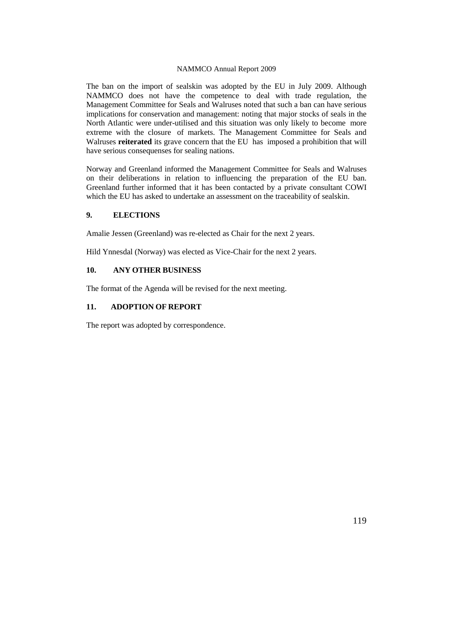The ban on the import of sealskin was adopted by the EU in July 2009. Although NAMMCO does not have the competence to deal with trade regulation, the Management Committee for Seals and Walruses noted that such a ban can have serious implications for conservation and management: noting that major stocks of seals in the North Atlantic were under-utilised and this situation was only likely to become more extreme with the closure of markets. The Management Committee for Seals and Walruses **reiterated** its grave concern that the EU has imposed a prohibition that will have serious consequenses for sealing nations.

Norway and Greenland informed the Management Committee for Seals and Walruses on their deliberations in relation to influencing the preparation of the EU ban. Greenland further informed that it has been contacted by a private consultant COWI which the EU has asked to undertake an assessment on the traceability of sealskin.

## **9. ELECTIONS**

Amalie Jessen (Greenland) was re-elected as Chair for the next 2 years.

Hild Ynnesdal (Norway) was elected as Vice-Chair for the next 2 years.

# **10. ANY OTHER BUSINESS**

The format of the Agenda will be revised for the next meeting.

## **11. ADOPTION OF REPORT**

The report was adopted by correspondence.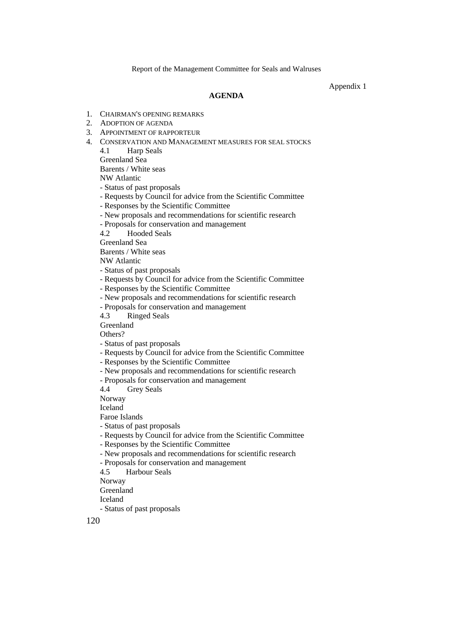Appendix 1

#### **AGENDA**

- 1. CHAIRMAN'S OPENING REMARKS
- 2. ADOPTION OF AGENDA
- 3. APPOINTMENT OF RAPPORTEUR
- 4. CONSERVATION AND MANAGEMENT MEASURES FOR SEAL STOCKS

4.1 Harp Seals Greenland Sea

Barents / White seas

NW Atlantic

- Status of past proposals
- Requests by Council for advice from the Scientific Committee

- Responses by the Scientific Committee

- New proposals and recommendations for scientific research
- Proposals for conservation and management

4.2 Hooded Seals

Greenland Sea

Barents / White seas

NW Atlantic

- Status of past proposals
- Requests by Council for advice from the Scientific Committee
- Responses by the Scientific Committee

- New proposals and recommendations for scientific research

- Proposals for conservation and management

4.3 Ringed Seals

Greenland

Others?

- Status of past proposals
- Requests by Council for advice from the Scientific Committee

- Responses by the Scientific Committee

- New proposals and recommendations for scientific research

- Proposals for conservation and management<br>4.4 Grev Seals

Grey Seals

Norway

Iceland

Faroe Islands

- Status of past proposals

- Requests by Council for advice from the Scientific Committee

- Responses by the Scientific Committee

- New proposals and recommendations for scientific research
- Proposals for conservation and management

4.5 Harbour Seals

Norway

Greenland

Iceland

- Status of past proposals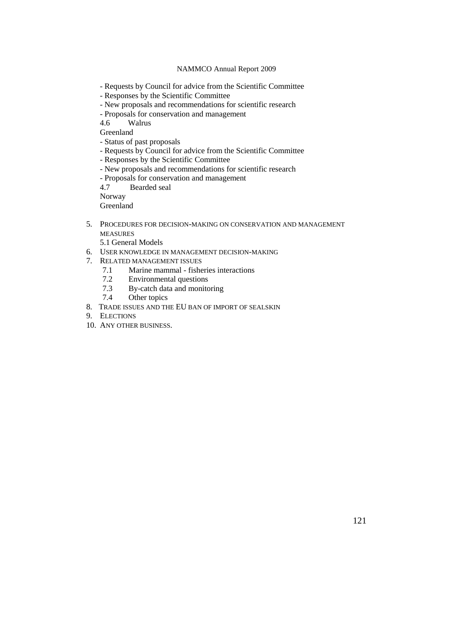- Requests by Council for advice from the Scientific Committee
- Responses by the Scientific Committee
- New proposals and recommendations for scientific research
- Proposals for conservation and management<br>4.6 Walrus

Walrus

Greenland

- Status of past proposals
- Requests by Council for advice from the Scientific Committee

- Responses by the Scientific Committee

- New proposals and recommendations for scientific research

- Proposals for conservation and management

4.7 Bearded seal

Norway

Greenland

5. PROCEDURES FOR DECISION-MAKING ON CONSERVATION AND MANAGEMENT MEASURES

5.1 General Models

- 6. USER KNOWLEDGE IN MANAGEMENT DECISION-MAKING
- 7. RELATED MANAGEMENT ISSUES<br>7.1 Marine mammal fishe
	- Marine mammal fisheries interactions
	- 7.2 Environmental questions
	- 7.3 By-catch data and monitoring
	- 7.4 Other topics
- 8. TRADE ISSUES AND THE EU BAN OF IMPORT OF SEALSKIN
- 9. ELECTIONS
- 10. ANY OTHER BUSINESS.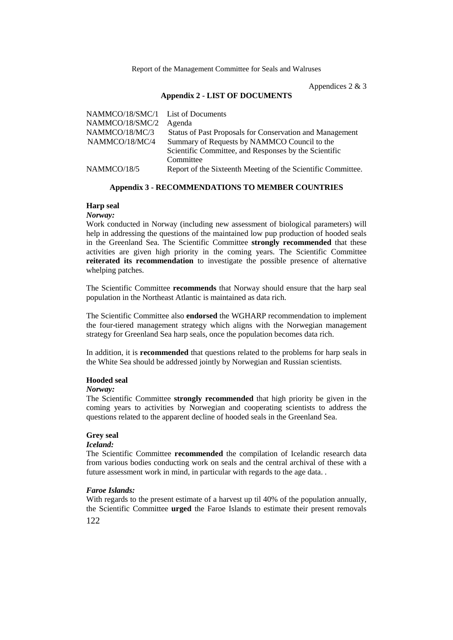Appendices 2 & 3

## **Appendix 2 - LIST OF DOCUMENTS**

| NAMMCO/18/SMC/1 List of Documents |                                                              |
|-----------------------------------|--------------------------------------------------------------|
| NAMMCO/18/SMC/2                   | Agenda                                                       |
| NAMMCO/18/MC/3                    | Status of Past Proposals for Conservation and Management     |
| NAMMCO/18/MC/4                    | Summary of Requests by NAMMCO Council to the                 |
|                                   | Scientific Committee, and Responses by the Scientific        |
|                                   | Committee                                                    |
| NAMMCO/18/5                       | Report of the Sixteenth Meeting of the Scientific Committee. |
|                                   |                                                              |

### **Appendix 3 - RECOMMENDATIONS TO MEMBER COUNTRIES**

### **Harp seal**

#### *Norway:*

Work conducted in Norway (including new assessment of biological parameters) will help in addressing the questions of the maintained low pup production of hooded seals in the Greenland Sea. The Scientific Committee **strongly recommended** that these activities are given high priority in the coming years. The Scientific Committee **reiterated its recommendation** to investigate the possible presence of alternative whelping patches.

The Scientific Committee **recommends** that Norway should ensure that the harp seal population in the Northeast Atlantic is maintained as data rich.

The Scientific Committee also **endorsed** the WGHARP recommendation to implement the four-tiered management strategy which aligns with the Norwegian management strategy for Greenland Sea harp seals, once the population becomes data rich.

In addition, it is **recommended** that questions related to the problems for harp seals in the White Sea should be addressed jointly by Norwegian and Russian scientists.

## **Hooded seal**

#### *Norway:*

The Scientific Committee **strongly recommended** that high priority be given in the coming years to activities by Norwegian and cooperating scientists to address the questions related to the apparent decline of hooded seals in the Greenland Sea.

#### **Grey seal**

# *Iceland:*

The Scientific Committee **recommended** the compilation of Icelandic research data from various bodies conducting work on seals and the central archival of these with a future assessment work in mind, in particular with regards to the age data. .

#### *Faroe Islands:*

With regards to the present estimate of a harvest up til 40% of the population annually, the Scientific Committee **urged** the Faroe Islands to estimate their present removals

122